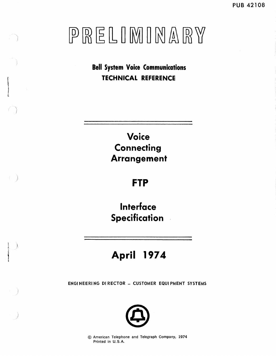**Bell System Voice Communications TECHNICAL REFERENCE** 

> **Voice Connecting Arrangement**

# **FTP**

**Interface Specification** 

# **April 1974**

 $\vert \hspace{.1cm} \rangle$ 

I

a J

ENGI NEERI NG DI RECTOR - CUSTOMER EQUI PMENT SYSTEMS



@ American Telephone and Telegraph Company, 1974 Printed in U.S.A.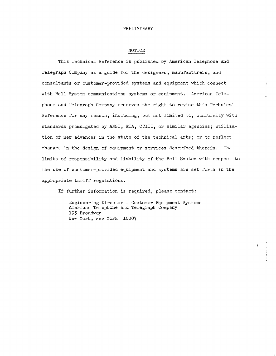#### NOTICE

This Technical Reference is published by American Telephone and Telegraph Company as a guide for the designers, manufacturers, and consultants of customer-provided systems and equipment which connect with Bell System communications systems or equipment. American Telephone and Telegraph Company reserves the right to revise this Technical Reference for any reason, including, but not limited to, conformity with standards promulgated by ANSI, EIA, CCITT, or similar agencies; utilization of new advances in the state of the technical arts; or to reflect changes in the design of equipment or services described therein. The limits of responsibility and liability of the Bell System with respect to the use of customer-provided equipment and systems are set forth in the appropriate tariff regulations.

If further information is required, please contact:

Engineering Director - Customer Equipment Systems American Telephone and Telegraph Company 195 Broadway New York, New York 10007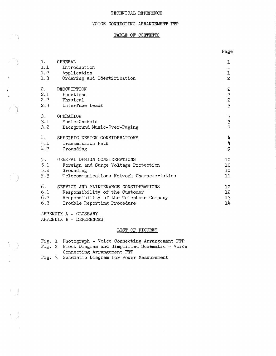#### TECHNICAL REFERENCE

#### VOICE CONNECTING ARRANGEMENT FTP

### TABLE OF CONTENTS

|                  |                                                            | Page            |
|------------------|------------------------------------------------------------|-----------------|
| $\mathbf{1}$ .   | GENERAL                                                    | ı               |
| 1.1              | Introduction                                               | $\mathbf 1$     |
| 1.2              | Application                                                | $\mathbf 1$     |
| 1.3              | Ordering and Identification                                | $\overline{c}$  |
| 2.               | DESCRIPTION                                                | $\mathbf{c}$    |
| 2.1              | Functions                                                  | $\overline{c}$  |
| 2.2              | Physical                                                   | $\overline{c}$  |
| 2.3              | Interface Leads                                            | $\overline{3}$  |
| 3.<br>3.1<br>3.2 | OPERATION<br>Music-On-Hold<br>Background Music-Over-Paging | $\frac{3}{3}$   |
| 4.               | SPECIFIC DESIGN CONSIDERATIONS                             | 4               |
| 4.1              | Transmission Path                                          | 4               |
| 4.2              | Grounding                                                  | 9               |
| 5.               | GENERAL DESIGN CONSIDERATIONS                              | 10              |
| 5.1              | Foreign and Surge Voltage Protection                       | 10              |
| 5.2              | Grounding                                                  | 10              |
| 5.3              | Telecommunications Network Characteristics                 | 11              |
| 6.               | SERVICE AND MAINTENANCE CONSIDERATIONS                     | 12 <sup>°</sup> |
| 6.1              | Responsibility of the Customer                             | 12 <sup>2</sup> |
| 6.2              | Responsibility of the Telephone Company                    | 13              |
| 6.3              | Trouble Reporting Procedure                                | 1 <sup>h</sup>  |

APPENDIX A - GLOSSARY APPENDIX B - REFERENCES

0

I

 $\left\{ \begin{array}{c} 1 \\ 1 \end{array} \right\}$ 

 $\begin{picture}(220,20) \put(0,0){\line(1,0){10}} \put(15,0){\line(1,0){10}} \put(15,0){\line(1,0){10}} \put(15,0){\line(1,0){10}} \put(15,0){\line(1,0){10}} \put(15,0){\line(1,0){10}} \put(15,0){\line(1,0){10}} \put(15,0){\line(1,0){10}} \put(15,0){\line(1,0){10}} \put(15,0){\line(1,0){10}} \put(15,0){\line(1,0){10}} \put(15,0){\line($ 

 $\left(\begin{array}{c}1\\1\end{array}\right)$ 

### LIST OF FIGURES

- Fig. 1 Photograph Voice Connecting Arrangement FTP
- Fig. 2 Block Diagram and Simplified Schematic Voice Connecting Arrangement FTP
- Fig. 3 Schematic Diagram for Power Measurement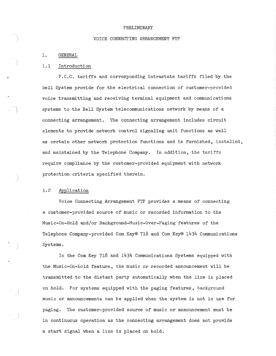#### VOICE CONNECTING ARRANGEMENT FP

#### 1. GENERAL

#### 1.1 Introduction

F.C.C. tariffs and corresponding intrastate tariffs filed by the Bell System provide for the electrical connection of customer-provided voice transmitting and receiving terminal equipment and communications systems to the Bell System telecommunications network by means of a connecting arrangement. 1he connecting arrangement includes circuit elements to provide network control signaling unit functions as well as certain other network protection functions and is furnished, installed, and maintained by the Telephone Company. In addition, the tariffs require compliance by the customer-provided equipment with network protection criteria specified therein.

#### 1.2 Application

Voice Connecting Arrangement FTP provides a means of connecting a customer-provided source of music or recorded information to the Music-On-Hold and/or Background-Music-Over-Paging features of the Telephone Company-provided Com Key® 718 and Com Key® 1434 Communications Systems.

In the Com Key 718 and 1434 Communications Systems equipped with the Music-On-Eold feature, the music or recorded announcement will be transmitted to the distant party automatically when the line is placed on hold. For systems equipped with the paging features, background music or announcements can be applied when the system is not in use for paging. The customer-provided source of music or announcement must be in continuous operation as the connecting arrangement does not provide a start signal when a line is placed on hold.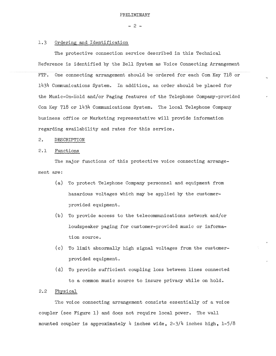$- 2 -$ 

#### 1.3 Ordering and Identification

The protective connection service described in this Technical Reference is identified by the Bell System as Voice Connecting Arrangement FTP. One connecting arrangement should be ordered for each Com Key 718 or 1434 Communications System. In addition, an order should be placed for the Music-On-Hold and/or Paging features of the Telephone Company-provided Com Key 718 or 1434 Communications System. The local Telephone Company business office or Marketing representative will provide information regarding availability and rates for this service.

#### 2, DESCRIPTION

#### 2.1 Functions

The major functions of this protective voice connecting arrangement are:

- (a) To protect Telephone Company personnel and equipment from hazardous voltages which may be applied by the customerprovided equipment.
- (b) To provide access to the telecommunications network and/or loudspeaker paging for customer-provided music or information source.
- (c) To limit abnormally high signal voltages from the customerprovided equipment.
- (d) To provide sufficient coupling loss between lines connected to a common music source to insure privacy while on hold.

#### 2.2 Physical

The voice connecting arrangement consists essentially of a voice coupler (see Figure 1) and does not require local power. The wall mounted coupler is approximately 4 inches wide,  $2-3/4$  inches high,  $1-5/8$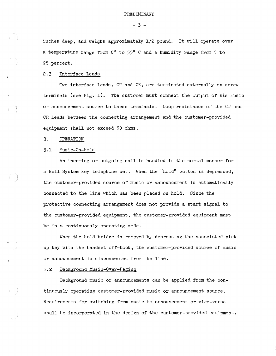$-3 -$ 

inches deep, and weighs approximately 1/2 pound. It will operate over a temperature range from  $0^{\circ}$  to  $55^{\circ}$  C and a humidity range from 5 to 95 percent.

#### 2.3 Interface Leads

*Two* interface leads, CT and CR, are terminated externally on screw terminals (see Fig. 1). The customer must connect the output of his music or announcement source to these terminals. Loop resistance of the CT and CR leads between the connecting arrangement and the customer-provided equipment shall not exceed 50 ohms.

3. OPERATION

#### 3,1 Music-On-Hold

An incoming or outgoing call is handled in the normal manner for a Bell System key telephone set. When the "Hold" button is depressed, the customer-provided source of music or announcement is automatically connected to the line which has been placed on hold. Since the protective connecting arrangement does not provide a start signal to the customer-provided equipment, the customer-provided equipment must be in a continuously operating mode.

When the hold bridge is removed by depressing the associated pickup key with the handset off-hook, the customer-provided source of music or announcement is disconnected from the line.

#### 3,2 Background Music-Over-Paging

Background music or announcements can be applied from the continuously operating customer-provided music or announcement source. Requirements for switching from music to announcement or vice-versa shall be incorporated in the design of the customer-provided equipment.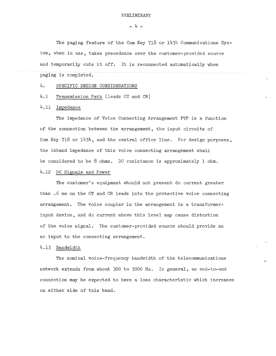$- 4 -$ 

The paging feature of the Com Key 718 or 1434 Communications System, when in use, takes precedence over the customer-provided source and temporarily cuts it off. It is reconnected automatically when paging is completed.

#### 4. SPECIFIC DESIGN CONSIDERATIONS

4.1 Transmission Path (leads CT and CR)

#### 4.11 Impedance

The impedance of Voice Connecting Arrangement FTP is a function of the connection between the arrangement, the input circuits of Com Key 718 or 1434, and the central office line. For design purposes, the inband impedance of this voice connecting arrangement shall be considered to be  $8$  ohms. DC resistance is approximately  $1$  ohm.

#### 4.12 DC Signals and Power

The customer's equipment should not present de current greater than .6 ma on the CT and CR leads into the protective voice connecting arrangement. The voice coupler in the arrangement is a transformerinput device, and de current above this level may cause distortion of the voice signal. The customer-provided source should provide an ac input to the connecting arrangement.

#### 4.13 Bandwidth

The nominal voice-frequency bandwidth of the telecommunications network extends from about 300 to 3000 Hz. In general, an end-to-end connection may be expected to have a loss characteristic which increases on either side of this band.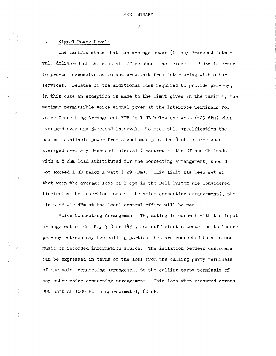$-5 -$ 

#### 4.14 Signal Power Levels

The tariffs state that the average power (in any 3-second interval) delivered at the central office should not exceed -12 dBm in order to prevent excessive noise and crosstalk from interfering with other services. Because of the additional loss required to provide privacy, in this case an exception is made to the limit given in the tariffs; the maximum permissible voice signal power at the Interface Terminals for Voice Connecting Arrangement FTP is 1 *dB* below one watt (+29 dBm) when averaged over any 3-second interval. To meet this specification the maximum available power from a customer-provided 8 ohm source when averaged over any 3-second interval (measured at the CT and CR leads with a  $8$  ohm load substituted for the connecting arrangement) should not exceed 1 *dB* below 1 watt (+29 dBm). This limit has been set so that when the average loss of loops in the Bell System are considered (including the insertion loss of the voice connecting arrangement), the limit of -12 dBm at the local central office will be met.

Voice Connecting Arrangement FTP, acting in concert with the input arrangement of Com Key  $718$  or  $1434$ , has sufficient attenuation to insure privacy between any two calling parties that are connected to a common music or recorded information source, The isolation between customers can be expressed in terms of the loss from the calling party terminals of one voice connecting arrangement to the calling party terminals of any other voice connecting arrangement. This loss when measured across 900 ohms at 1000 Hz is approximately 80 *dB.*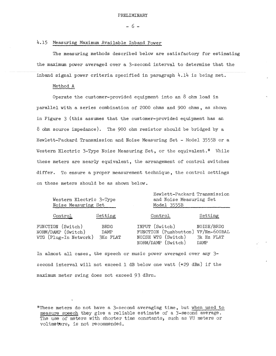$- 6 -$ 

#### 4.15 Measuring Maximum Available Inband Power

The measuring methods described below are satisfactory for estimating the maximum power averaged over a 3-second interval to determine that the inband signal power criteria specified in paragraph  $4.14$  is being met.

#### Method A

Operate the customer-provided equipment into an 8 ohm load in parallel with a series combination of 2000 ohms and 900 ohms, as shown in Figure 3 (this assumes that the customer-provided equipment has an 8 ohm source impedance). The 900 ohm resistor should be bridged by a Hewlett-Packard Transmission and Noise Measuring Set - Model 3555B or a Western Electric 3-Type Noise Measuring Set, or the equivalent.\* While these meters are nearly equivalent, the arrangement of control switches differ. To ensure a proper measurement technique, the control settings on these meters should be as shown below.

Western Electric 3-Type Noise Measuring Set

Hewlett-Packard Transmission and Noise Measuring Set Model 3555B

| Control                                                          | Setting                         | Control                                                                                          | Setting                          |
|------------------------------------------------------------------|---------------------------------|--------------------------------------------------------------------------------------------------|----------------------------------|
| FUNCTION (Switch)<br>NORM/DAMP (Switch)<br>WTG (Plug-In Network) | <b>BRDG</b><br>DAMP<br>3Kc FLAT | INPUT (Switch)<br>FUNCTION (Pushbutton) VF/Nm-600BAL<br>NOISE WTG (Switch)<br>NORM/DAMP (Switch) | NOISE/BRDG<br>3k Hz FLAT<br>DAMP |

In almost all cases, the speech or music power averaged over any 3 second interval will not exceed 1 dB below one watt (+29 dBm) if the maximum meter swing does not exceed 93 dBrn.

\*These meters do not have a 3-second averaging time, but when used to measure speech they give a reliable estimate of a J-second average. The use of meters with shorter time constants, such as VU meters or voltmeters, is not recommended.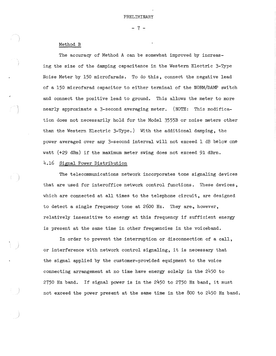$- 7 -$ 

#### Method B

The accuracy of Method A can be somewhat improved by increasing the size of the damping capacitance in the Western Electric 3-Type Noise Meter by 150 microfarads. To do this, connect the negative lead of a 150 microfarad capacitor to either terminal of the NORM/DAMP switch and connect the positive lead to ground. This allows the meter to more nearly approximate a 3-second averaging meter. (NOTE: This modification does not necessarily hold for the Model 3555B or noise meters other than the Western Electric 3-Type.) With the additional damping, the power averaged over any 3-second interval will not exceed 1 dB below one watt (+29 dBm) if the maximum meter swing does not exceed 91 dBrn.

#### 4.16 Signal Power Distribution

The telecommunications network incorporates tone signaling devices that are used for interoffice network control functions. These devices, which are connected at all times to the telephone circuit, are designed to detect a single frequency tone at 2600 Hz. They are,, however, relatively insensitive to energy at this frequency if sufficient energy is present at the same time in other frequencies in the voiceband.

In order to prevent the interruption or disconnection of a call, or interference with network control signaling, it is necessary that the signal applied by the customer-provided equipment to the voice connecting arrangement at no time have energy solely in the 2450 to 2750 Hz band. If signal power is in the 2450 to 2750 Hz band, it must not exceed the power present at the same time in the 800 to 2450 Hz band.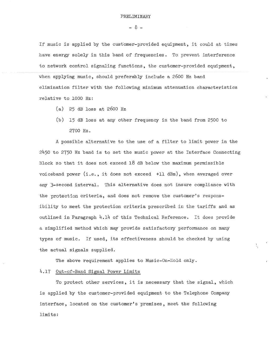$- 8 -$ 

If music is applied by the customer-provided equipment, it could at times have energy solely in this band of frequencies. To prevent interference to network control signaling functions, the customer-provided equipment, when applying music, should preferably include a 2600 Hz band elimination filter with the following minimum attenuation characteristics relative to 1000 Hz:

- (a) 25 dB loss at 2600 Hz
- (b) 15 dB loss at any other frequency in the band from 2500 to 2700 Hz.

A possible alternative to the use of a filter to limit power in the 2450 to 2750 Hz band is to set the music power at the Interface Connecting Block so that it does not exceed 18 dB below the maximum permissible voiceband power  $(i.e., it does not exceed +11 dBm)$ , when averaged over any 3-second interval. This alternative does not insure compliance with the protection criteria, and does not remove the customer's responsibility to meet the protection criteria prescribed in the tariffs and as outlined in Paragraph  $4.14$  of this Technical Reference. It does provide a simplified method which may provide satisfactory performance on many types of music. If used, its effectiveness should be checked by using the actual signals supplied.

The above requirement applies to Music-On-Hold only.

#### 4.17 Out-of-Band Signal Power Limits

To protect other services, it is necessary that the signal, which is applied by the customer-provided equipment to the Telephone Company interface, located on the customer's premises, meet the following limits: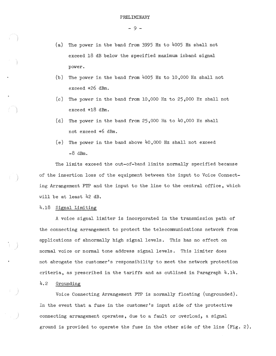- 9 -

- (a) The power in the band from 3995 Hz to 4005 Hz shall not exceed 18 dB below the specified maximum inband signal power.
- (b) The power in the band from 4005 Hz to 10,000 Hz shall not exceed +26 dBm.
- (c) The power in the band from 10,000 Hz to 25,000 Hz shall not exceed +18 dBm.
- (d) The power in the band from  $25,000$  Hz to  $40,000$  Hz shall not exceed +6 dBm.
- (e) The power in the band above  $40,000$  Hz shall not exceed  $-8$  dBm.

The limits exceed the out-of-band limits normally specified because of the insertion loss of the equipment between the input to Voice Connecting Arrangement FTP and the input to the line to the central office, which will be at least 42 dB.

4.18 Signal Limiting

A voice signal limiter is incorporated in the transmission path of the connecting arrangement to protect the telecommunications network from applications of abnormally high signal levels. This has no effect on normal voice or normal tone address signal levels. This limiter does not abrogate the customer's responsibility to meet the network protection criteria, as prescribed in the tariffs and as outlined in Paragraph  $4.14$ .

#### 4.2 Grounding

Voice Connecting Arrangement FTP is normally floating (ungrounded). In the event that a fuse in the customer's input side of the protective connecting arrangement operates, due to a fault or overload, a signal ground is provided to operate the fuse in the other side of the line (Fig. 2).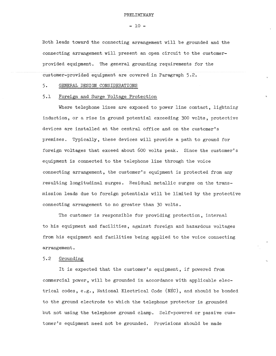$- 10 -$ 

Both leads toward the connecting arrangement will be grounded and the connecting arrangement will present an open circuit to the customerprovided equipment. The general grounding requirements for the customer-provided equipment are covered in Paragraph 5,2.

5, GENERAL DESIGN CONSIDERATIONS

#### 5,1 Foreign and Surge Voltage Protection

Where telephone lines are exposed to power line contact, lightning induction, or a rise in ground potential exceeding 300 volts, protective devices are installed at the central office and on the customer's premises. Typically, these devices will provide a path to ground for foreign voltages that exceed about 600 volts peak. Since the customer's equipment is connected to the telephone line through the voice connecting arrangement, the customer's equipment is protected from any resulting longitudinal surges. Residual metallic surges on the transmission leads due to foreign potentials will be limited by the protective connecting arrangement to no greater than 30 volts.

The customer is responsible for providing protection, internal to his equipment and facilities, against foreign and hazardous voltages from his equipment and facilities being applied to the voice connecting arrangement.

#### 5.2 Grounding

It is expected that the customer's equipment, if powered from commercial power, will be grounded in accordance with applicable electrical codes, e.g., National Electrical Code (NEC), and should be bonded to the ground electrode to which the telephone protector is grounded but not using the telephone ground clamp. Self-powered or passive customer's equipment need not be grounded. Provisions should be made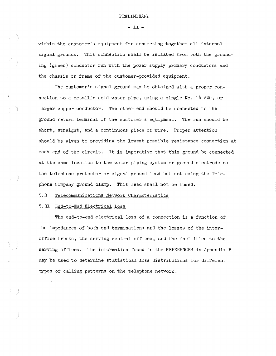#### - 11 -

within the customer's equipment for connecting together all internal signal grounds. This connection shall be isolated from both the grounding (green) conductor run with the power supply primary conductors and the chassis or frame of the customer-provided equipment.

The customer's signal ground may be obtained with a proper connection to a metallic cold water pipe, using a single No. 14 AWG, or larger copper conductor. The other end should be connected to the ground return terminal of the customer's equipment. The run should be short, straight, and a continuous piece of wire. Proper attention should be given to providing the lowest possible resistance connection at each end of the circuit. It is imperative that this ground be connected at the same location to the water piping system or ground electrode as the telephone protector or signal ground lead but not using the Telephone Company ground clamp. This lead shall not be fused.

### 5,3 Telecommunications Network Characteristics

#### 5.31 End-to-End Electrical Loss

The end-to-end electrical loss of a connection is a function of the impedances of both end terminations and the losses of the interoffice trunks, the serving central offices, and the facilities to the serving offices. The information found in the REFERENCES in Appendix B may be used to determine statistical loss distributions for different types of calling patterns on the telephone network.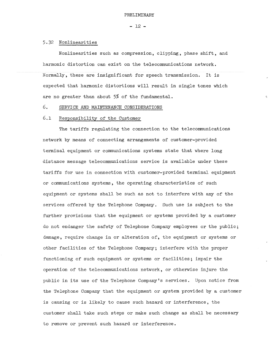$-12 -$ 

#### 5,32 Nonlinearities

Nonlinearities such as compression, clipping, phase shift, and harmonic distortion can exist on the telecommunications network. Normally, these are insignificant for speech transmission. It is expected that harmonic distortions will result in single tones which are no greater than about 5% of the fundamental,

#### *6.* SERVICE AND MAINTENANCE CONSIDERATIONS

### 6.1 Responsibility of the Customer

The tariffs regulating the connection to the telecommunications network by means of connecting arrangements of customer-provided terminal equipment or connnunications systems state that where long distance message teleconnnunications service is available under these tariffs for use in connection with customer-provided terminal equipment or communications systems, the operating characteristics of such equipment or systems shall be such as not to interfere with any of the services offered by the Telephone Company. Such use is subject to the further provisions that the equipment or systems provided by a customer do not endanger the safety of Telephone Company employees or the public; damage, require change in or alteration of, the equipment or systems or other facilities of the Telephone Company; interfere with the proper functioning of such equipment or systems or facilities; impair the operation of the telecommunications network, or otherwise injure the public in its use of the Telephone Company's services. Upon notice from the Telephone Company that the equipment or system provided by a customer is causing or is likely to cause such hazard or interference, the customer shall take such steps or make such change as shall be necessary to remove or prevent such hazard or interference,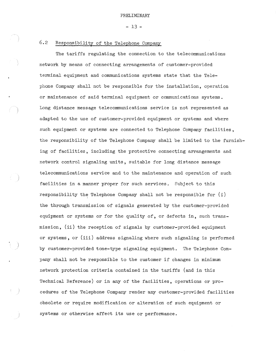- 13 -

### 6.2 Responsibility of the Telephone Company

The tariffs regulating the connection to the telecommunications network by means of connecting arrangements of customer-provided terminal equipment and communications systems state that the Telephone Company shall not be responsible for the installation, operation or maintenance of said terminal equipment or communications systems. Long distance message telecommunications service is not represented as adapted to the use of customer-provided equipment or systems and where such equipment or systems are connected to Telephone Company facilities, the responsibility of the Telephone Company shall be limited to the furnishing of facilities, including the protective connecting arrangements and network control signaling units, suitable for long distance message telecommunications service and to the maintenance and operation of such facilities in a manner proper for such services. Subject to this responsibility the Telephone Company shall not be responsible for  $(i)$ the through transmission of signals generated by the customer-provided equipment or systems or for the quality of, or defects in, such transmission, (ii) the reception of signals by customer-provided equipment or systems, or (iii) address signaling where such signaling is performed by customer-provided tone-type signaling equipment. The Telephone Company shall not be responsible to the customer if changes in minimum network protection criteria contained in the tariffs (and in this Technical Reference) or in any of the facilities, operations or procedures of the Telephone Company render any customer-provided facilities obsolete or require modification or alteration of such equipment or systems or otherwise affect its use or performance.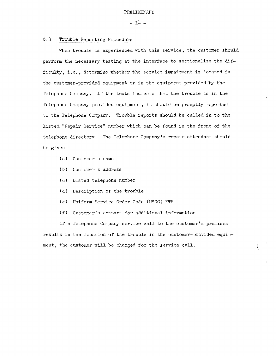$- 14 -$ 

#### 6.3 Trouble Reporting Procedure

When trouble is experienced with this service, the customer should perform the necessary testing at the interface to sectionalize the difficulty, i.e., determine whether the service impairment is located in the customer-provided equipment or in the equipment provided by the Telephone Company. If the tests indicate that the trouble is in the Telephone Company-provided equipment, it should be promptly reported to the Telephone Company. Trouble reports should be called in to the listed "Repair Service" number which can be found in the front of the telephone directory. The Telephone Company's repair attendant should be given:

- (a) Customer's name
- (b) Customer's address
- (c) Listed telephone number
- (d) Description of the trouble
- (e) Uniform Service Order Code (USOC) FTP
- (f) Customer's contact for additional information

If a Telephone Company service call to the customer's premises results in the location of the trouble in the customer-provided equipment, the customer will be charged for the service call.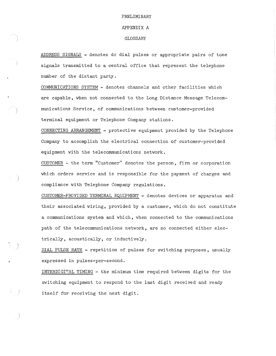# PRELIMINARY APPENDIX A

GLOSSARY

ADDRESS SIGNALS - denotes de dial pulses or appropriate pairs of tone signals transmitted to a central office that represent the telephone number of the distant party.

COMMUNICATIONS SYSTEM - denotes channels and other facilities which are capable, when not connected to the Long Distance Message Telecommunications Service, of communications between customer-provided terminal equipment or Telephone Company stations.

CONNECTING ARRANGEMENT - protective equipment provided by the Telephone Company to accomplish the electrical connection of customer-provided equipment with the telecommunications network.

CUSTOMER - the term "Customer" denotes the person, firm or corporation which orders service and is responsible for the payment of charges and compliance with Telephone Company regulations.

CUSTOMER-PROVIDED TERMINAL EQUIPMENT - denotes devices or apparatus and their associated wiring, provided by a customer, which do not constitute a communications system and which, when connected to the communications path of the telecommunications network, are so connected either electrically, acoustically, or inductively.

DIAL PULSE RATE - repetition of pulses for switching purposes, usually expressed in pulses-per-second.

INTERDIGI~AL TIMING - the minimum time required between digits for the switching equipment to respond to the last digit received and ready itself for receiving the next digit.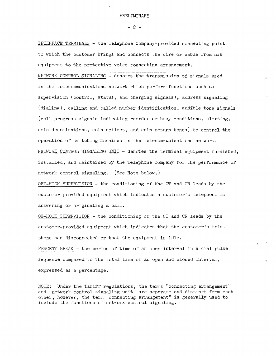$- 2 -$ 

INTERFACE TERMINALS - the Telephone Company-provided connecting point to which the customer brings and connects the wire or cable from his equipment to the protective voice connecting arrangement.

NETWORK CONTROL SIGNALING - denotes the transmission of signals used in the telecommunications network which perform functions such as supervision (control, status, and charging signals), address signaling (dialing), calling and called number identification, audible tone signals (call progress signals indicating reorder or busy conditions, alerting, coin denominations, coin collect, and coin return tones) to control the operation of switching machines in the telecommunications network. WETWORK CONTROL SIGNALING UNIT - denotes the terminal equipment furnished, installed, and maintained by the Telephone Company for the performance of network control signaling. (See Note below.)

OFF-HOOK SUPERVISION - the conditioning of the CT and CR leads by the customer-provided equipment which indicates a customer's telephone is answering or originating a call.

ON-HOOK SUPERVISION - the conditioning of the CT and CR leads by the customer-provided equipment which indicates that the customer's telephone has disconnected or that the equipment is idle.

PERCENT BREAK - the period of time of an open interval in a dial pulse sequence compared to the total time of an open and closed interval, expressed as a percentage.

NOTE: Under the tariff regulations, the terms "connecting arrangement" and "network control signaling unit" are separate and distinct from each other; however, the term "connecting arrangement" is generally used to include the functions of network control signaling.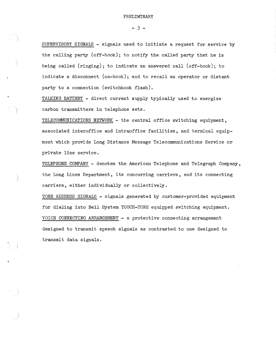$- 3 -$ 

SUPERVISORY SIGNALS - signals used to initiate a request for service by the calling party (off-hook); to notify the called party that he is being called (ringing); to indicate an answered call (off-hook); to indicate a disconnect (on-hook); and to recall an operator or distant party to a connection (switchhook flash).

TALKING BATTERY - direct current supply typically used to energize carbon transmitters in telephone sets.

TELECOMMUNICATIONS NETWORK - the central office switching equipment, associated interoffice and intraoffice facilities, and terminal equipment which provide Long Distance Message Telecommunications Service or private line service.

TELEPHONE COMPANY - denotes the American Telephone and Telegraph Company, the Long Lines Department, its concurring carriers, and its connecting carriers, either individually or collectively.

TONE ADDRESS SIGNALS - signals generated by customer-provided equipment for dialing into Bell System TOUCH-TONE equipped switching equipment. VOICE CONNECTING ARRANGEMENT - a protective connecting arrangement designed to transmit speech signals as contrasted to one designed to transmit data signals.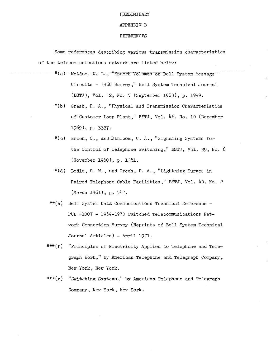#### APPENDIX B

#### REFERENCES

Some references describing various transmission characteristics of the telecommunications network are listed belbw:

- \*(a) McAdoo, K. L., "Speech Volumes on Bell System Message Circuits - 1960 Survey," Bell System Technical Journal (BSTJ), Vol. 42, No. 5 (September 1963), p. 1999,
- \*(b) Gresh, P. A., "Physical and Transmission Characteristics of Customer Loop Plant," BSTJ, Vol. 48, No. 10 (December 1969), p. 3337.
- \*(c) Breen, C., and Dahlbom, C. A., "Signaling Systems for the Control of Telephone Switching," BSTJ, Vol. 39, No. 6 (November 1960), p. 1381.
- \*(d) Bodle, D. W., and Gresh, P. A., "Lightning Surges in Paired Telephone Cable Facilities," BSTJ, Vol. 40, No. 2 (March 1961), p. 547.
- \*\*(e) Bell System Data Communications Technical Reference PUB 41007 - 1969-1970 Switched Telecommunications Network Connection Survey (Reprints of Bell System Technical Journal Articles) - April 1971,
- \*\*\*(f) "Principles of Electricity Applied to Telephone and Telegraph Work," by American Telephone and Telegraph Company, New York, New York.
- \*\*\*(g) "Switching Systems," by American Telephone and Telegraph Company, New York, New York.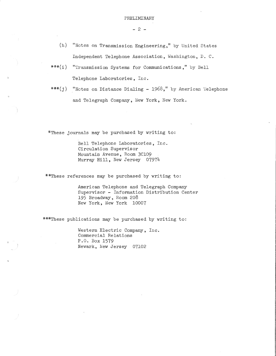$- 2 -$ 

- (h) "Notes on Transmission Engineering," by United States Independent Telephone Association, Washington, D. C.
- \*\*\*(i) "Transmission Systems for Communications," by Bell Telephone Laboratories, Inc.
- \*\*\*( $j$ ) "Notes on Distance Dialing 1968," by American Telephone and Telegraph Company, New York, New York.

\*These journals may be purchased by writing to:

Bell Telephone Laboratories, Inc. Circulation Supervisor Mountain Avenue, Room 3Cl09 Murray Hill, New Jersey 07974

\*\*These references may be purchased by writing to:

American Telephone and Telegraph Company Supervisor - Information Distribution Center 195 Broadway, Room 208 New York, New York 10007

\*\*\*These publications may be purchased by writing to:

Western Electric Company, Inc. Commercial Relations P.O. Box 1579 Newark, New Jersey 07102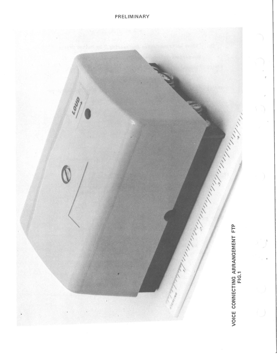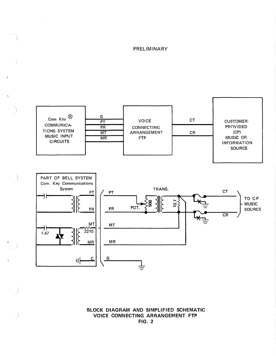$\bar{z}$ 

 $\hat{\mathbf{f}}$ 



**BLOCK DIAGRAM AND SIMPLIFIED SCHEMATIC VOICE CONNECTING ARRANGEMENT FTP FIG. 2**